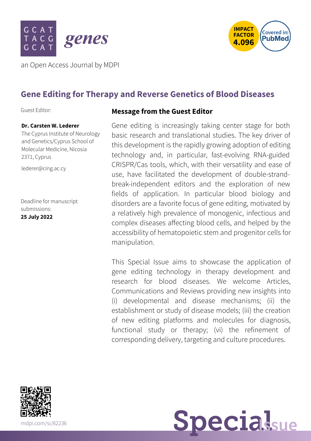



an Open Access Journal by MDPI

# **Gene Editing for Therapy and Reverse Genetics of Blood Diseases**

Guest Editor:

### **Dr. Carsten W. Lederer**

The Cyprus Institute of Neurology and Genetics/Cyprus School of Molecular Medicine, Nicosia 2371, Cyprus

[lederer@cing.ac.cy](mailto:lederer@cing.ac.cy)

Deadline for manuscript submissions: **25 July 2022**

### **Message from the Guest Editor**

Gene editing is increasingly taking center stage for both basic research and translational studies. The key driver of this development is the rapidly growing adoption of editing technology and, in particular, fast-evolving RNA-guided CRISPR/Cas tools, which, with their versatility and ease of use, have facilitated the development of double-strandbreak-independent editors and the exploration of new fields of application. In particular blood biology and disorders are a favorite focus of gene editing, motivated by a relatively high prevalence of monogenic, infectious and complex diseases affecting blood cells, and helped by the accessibility of hematopoietic stem and progenitor cells for manipulation.

This Special Issue aims to showcase the application of gene editing technology in therapy development and research for blood diseases. We welcome Articles, Communications and Reviews providing new insights into (i) developmental and disease mechanisms; (ii) the establishment or study of disease models; (iii) the creation of new editing platforms and molecules for diagnosis, functional study or therapy; (vi) the refinement of corresponding delivery, targeting and culture procedures.



[mdpi.com/si/82236](https://www.mdpi.com/si/82236) Specialsue